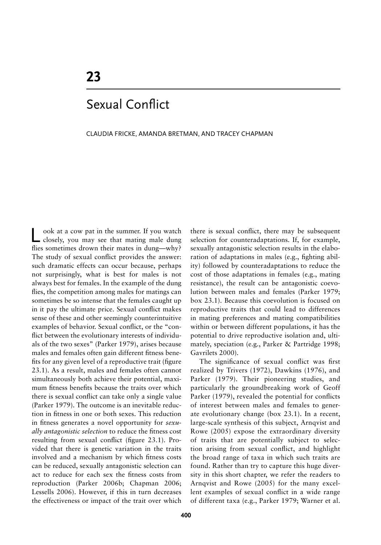# Sexual Conflict

**23**

#### CLAUDIA FRICKE, AMANDA BRETMAN, AND TRACEY CHAPMAN

L ook at a cow pat in the summer. If you watch closely, you may see that mating male dung flies sometimes drown their mates in dung—why? The study of sexual conflict provides the answer: such dramatic effects can occur because, perhaps not surprisingly, what is best for males is not always best for females. In the example of the dung flies, the competition among males for matings can sometimes be so intense that the females caught up in it pay the ultimate price. Sexual conflict makes sense of these and other seemingly counterintuitive examples of behavior. Sexual conflict, or the "conflict between the evolutionary interests of individuals of the two sexes" (Parker 1979), arises because males and females often gain different fitness benefits for any given level of a reproductive trait (figure 23.1). As a result, males and females often cannot simultaneously both achieve their potential, maximum fitness benefits because the traits over which there is sexual conflict can take only a single value (Parker 1979). The outcome is an inevitable reduction in fitness in one or both sexes. This reduction in fitness generates a novel opportunity for *sexually antagonistic selection* to reduce the fitness cost resulting from sexual conflict (figure 23.1). Provided that there is genetic variation in the traits involved and a mechanism by which fitness costs can be reduced, sexually antagonistic selection can act to reduce for each sex the fitness costs from reproduction (Parker 2006b; Chapman 2006; Lessells 2006). However, if this in turn decreases the effectiveness or impact of the trait over which

there is sexual conflict, there may be subsequent selection for counteradaptations. If, for example, sexually antagonistic selection results in the elaboration of adaptations in males (e.g., fighting ability) followed by counteradaptations to reduce the cost of those adaptations in females (e.g., mating resistance), the result can be antagonistic coevolution between males and females (Parker 1979; box 23.1). Because this coevolution is focused on reproductive traits that could lead to differences in mating preferences and mating compatibilities within or between different populations, it has the potential to drive reproductive isolation and, ultimately, speciation (e.g., Parker & Partridge 1998; Gavrilets 2000).

The significance of sexual conflict was first realized by Trivers (1972), Dawkins (1976), and Parker (1979). Their pioneering studies, and particularly the groundbreaking work of Geoff Parker (1979), revealed the potential for conflicts of interest between males and females to generate evolutionary change (box 23.1). In a recent, large-scale synthesis of this subject, Arnqvist and Rowe (2005) expose the extraordinary diversity of traits that are potentially subject to selection arising from sexual conflict, and highlight the broad range of taxa in which such traits are found. Rather than try to capture this huge diversity in this short chapter, we refer the readers to Arnqvist and Rowe (2005) for the many excellent examples of sexual conflict in a wide range of different taxa (e.g., Parker 1979; Warner et al.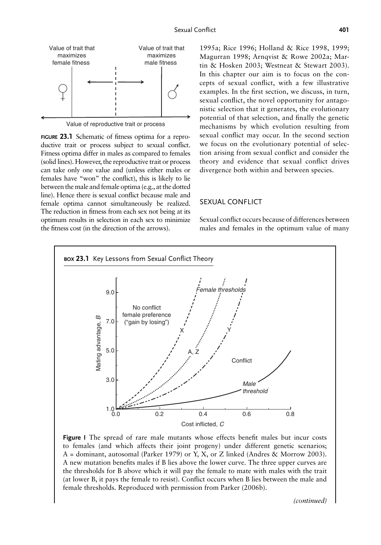

Value of reproductive trait or process

**FIGURE 23.1** Schematic of fitness optima for a reproductive trait or process subject to sexual conflict. Fitness optima differ in males as compared to females (solid lines). However, the reproductive trait or process can take only one value and (unless either males or females have "won" the conflict), this is likely to lie between the male and female optima (e.g., at the dotted line). Hence there is sexual conflict because male and female optima cannot simultaneously be realized. The reduction in fitness from each sex not being at its optimum results in selection in each sex to minimize the fitness cost (in the direction of the arrows).

1995a; Rice 1996; Holland & Rice 1998, 1999; Magurran 1998; Arnqvist & Rowe 2002a; Martin & Hosken 2003; Westneat & Stewart 2003). In this chapter our aim is to focus on the concepts of sexual conflict, with a few illustrative examples. In the first section, we discuss, in turn, sexual conflict, the novel opportunity for antagonistic selection that it generates, the evolutionary potential of that selection, and finally the genetic mechanisms by which evolution resulting from sexual conflict may occur. In the second section we focus on the evolutionary potential of selection arising from sexual conflict and consider the theory and evidence that sexual conflict drives divergence both within and between species.

## SEXUAL CONFLICT

Sexual conflict occurs because of differences between males and females in the optimum value of many



**Figure I** The spread of rare male mutants whose effects benefit males but incur costs to females (and which affects their joint progeny) under different genetic scenarios;  $A =$  dominant, autosomal (Parker 1979) or Y, X, or Z linked (Andres & Morrow 2003). A new mutation benefits males if B lies above the lower curve. The three upper curves are the thresholds for B above which it will pay the female to mate with males with the trait (at lower B, it pays the female to resist). Conflict occurs when B lies between the male and female thresholds. Reproduced with permission from Parker (2006b).

*(continued)*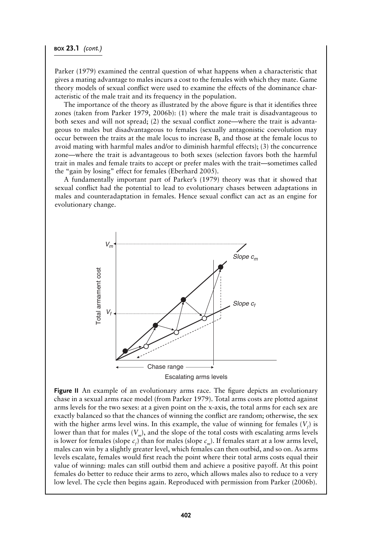**BOX 23.1** *(cont.)*

Parker (1979) examined the central question of what happens when a characteristic that gives a mating advantage to males incurs a cost to the females with which they mate. Game theory models of sexual conflict were used to examine the effects of the dominance characteristic of the male trait and its frequency in the population.

The importance of the theory as illustrated by the above figure is that it identifies three zones (taken from Parker 1979, 2006b): (1) where the male trait is disadvantageous to both sexes and will not spread;  $(2)$  the sexual conflict zone—where the trait is advantageous to males but disadvantageous to females (sexually antagonistic coevolution may occur between the traits at the male locus to increase B, and those at the female locus to avoid mating with harmful males and/or to diminish harmful effects); (3) the concurrence zone—where the trait is advantageous to both sexes (selection favors both the harmful trait in males and female traits to accept or prefer males with the trait—sometimes called the "gain by losing" effect for females (Eberhard 2005).

A fundamentally important part of Parker's (1979) theory was that it showed that sexual conflict had the potential to lead to evolutionary chases between adaptations in males and counteradaptation in females. Hence sexual conflict can act as an engine for evolutionary change.



**Figure II** An example of an evolutionary arms race. The figure depicts an evolutionary chase in a sexual arms race model (from Parker 1979). Total arms costs are plotted against arms levels for the two sexes: at a given point on the x-axis, the total arms for each sex are exactly balanced so that the chances of winning the conflict are random; otherwise, the sex with the higher arms level wins. In this example, the value of winning for females  $(V<sub>i</sub>)$  is lower than that for males ( $V_m$ ), and the slope of the total costs with escalating arms levels is lower for females (slope  $c_f$ ) than for males (slope  $c_m$ ). If females start at a low arms level, males can win by a slightly greater level, which females can then outbid, and so on. As arms levels escalate, females would first reach the point where their total arms costs equal their value of winning: males can still outbid them and achieve a positive payoff. At this point females do better to reduce their arms to zero, which allows males also to reduce to a very low level. The cycle then begins again. Reproduced with permission from Parker (2006b).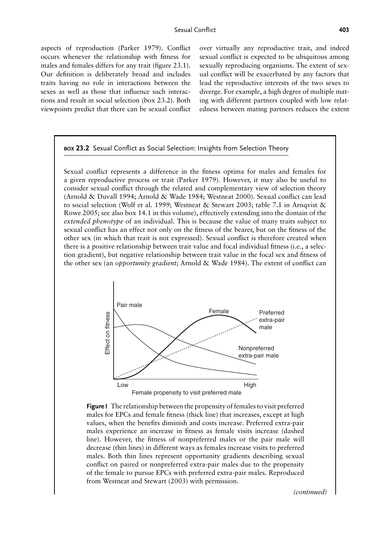aspects of reproduction (Parker 1979). Conflict occurs whenever the relationship with fitness for males and females differs for any trait (figure 23.1). Our definition is deliberately broad and includes traits having no role in interactions between the sexes as well as those that influence such interactions and result in social selection (box 23.2). Both viewpoints predict that there can be sexual conflict over virtually any reproductive trait, and indeed sexual conflict is expected to be ubiquitous among sexually reproducing organisms. The extent of sexual conflict will be exacerbated by any factors that lead the reproductive interests of the two sexes to diverge. For example, a high degree of multiple mating with different partners coupled with low relatedness between mating partners reduces the extent

## **BOX 23.2** Sexual Conflict as Social Selection: Insights from Selection Theory

Sexual conflict represents a difference in the fitness optima for males and females for a given reproductive process or trait (Parker 1979). However, it may also be useful to consider sexual conflict through the related and complementary view of selection theory (Arnold & Duvall 1994; Arnold & Wade 1984; Westneat 2000). Sexual conflict can lead to social selection (Wolf et al. 1999; Westneat & Stewart 2003; table 7.1 in Arnqvist & Rowe 2005; see also box 14.1 in this volume), effectively extending into the domain of the *extended phenotype* of an individual. This is because the value of many traits subject to sexual conflict has an effect not only on the fitness of the bearer, but on the fitness of the other sex (in which that trait is not expressed). Sexual conflict is therefore created when there is a positive relationship between trait value and focal individual fitness (i.e., a selection gradient), but negative relationship between trait value in the focal sex and fitness of the other sex (an *opportunity gradient*; Arnold & Wade 1984). The extent of conflict can



**Figure I** The relationship between the propensity of females to visit preferred males for EPCs and female fitness (thick line) that increases, except at high values, when the benefits diminish and costs increase. Preferred extra-pair males experience an increase in fitness as female visits increase (dashed line). However, the fitness of nonpreferred males or the pair male will decrease (thin lines) in different ways as females increase visits to preferred males. Both thin lines represent opportunity gradients describing sexual conflict on paired or nonpreferred extra-pair males due to the propensity of the female to pursue EPCs with preferred extra-pair males. Reproduced from Westneat and Stewart (2003) with permission.

*(continued)*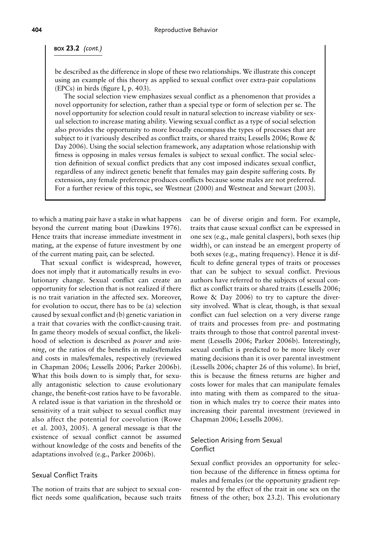#### **BOX 23.2** *(cont.)*

be described as the difference in slope of these two relationships. We illustrate this concept using an example of this theory as applied to sexual conflict over extra-pair copulations  $(EPCs)$  in birds (figure I, p. 403).

The social selection view emphasizes sexual conflict as a phenomenon that provides a novel opportunity for selection, rather than a special type or form of selection per se. The novel opportunity for selection could result in natural selection to increase viability or sexual selection to increase mating ability. Viewing sexual conflict as a type of social selection also provides the opportunity to more broadly encompass the types of processes that are subject to it (variously described as conflict traits, or shared traits; Lessells 2006; Rowe & Day 2006). Using the social selection framework, any adaptation whose relationship with fitness is opposing in males versus females is subject to sexual conflict. The social selection definition of sexual conflict predicts that any cost imposed indicates sexual conflict, regardless of any indirect genetic benefit that females may gain despite suffering costs. By extension, any female preference produces conflicts because some males are not preferred. For a further review of this topic, see Westneat (2000) and Westneat and Stewart (2003).

to which a mating pair have a stake in what happens beyond the current mating bout (Dawkins 1976). Hence traits that increase immediate investment in mating, at the expense of future investment by one of the current mating pair, can be selected.

That sexual conflict is widespread, however, does not imply that it automatically results in evolutionary change. Sexual conflict can create an opportunity for selection that is not realized if there is no trait variation in the affected sex. Moreover, for evolution to occur, there has to be (a) selection caused by sexual conflict and (b) genetic variation in a trait that covaries with the conflict-causing trait. In game theory models of sexual conflict, the likelihood of selection is described as *power* and *winning*, or the ratios of the benefits in males/females and costs in males/females, respectively (reviewed in Chapman 2006; Lessells 2006; Parker 2006b). What this boils down to is simply that, for sexually antagonistic selection to cause evolutionary change, the benefit-cost ratios have to be favorable. A related issue is that variation in the threshold or sensitivity of a trait subject to sexual conflict may also affect the potential for coevolution (Rowe et al. 2003, 2005). A general message is that the existence of sexual conflict cannot be assumed without knowledge of the costs and benefits of the adaptations involved (e.g., Parker 2006b).

## Sexual Conflict Traits

The notion of traits that are subject to sexual conflict needs some qualification, because such traits

can be of diverse origin and form. For example, traits that cause sexual conflict can be expressed in one sex (e.g., male genital claspers), both sexes (hip width), or can instead be an emergent property of both sexes (e.g., mating frequency). Hence it is difficult to define general types of traits or processes that can be subject to sexual conflict. Previous authors have referred to the subjects of sexual conflict as conflict traits or shared traits (Lessells 2006; Rowe & Day 2006) to try to capture the diversity involved. What is clear, though, is that sexual conflict can fuel selection on a very diverse range of traits and processes from pre- and postmating traits through to those that control parental investment (Lessells 2006; Parker 2006b). Interestingly, sexual conflict is predicted to be more likely over mating decisions than it is over parental investment (Lessells 2006; chapter 26 of this volume). In brief, this is because the fitness returns are higher and costs lower for males that can manipulate females into mating with them as compared to the situation in which males try to coerce their mates into increasing their parental investment (reviewed in Chapman 2006; Lessells 2006).

## Selection Arising from Sexual Conflict

Sexual conflict provides an opportunity for selection because of the difference in fitness optima for males and females (or the opportunity gradient represented by the effect of the trait in one sex on the fitness of the other; box 23.2). This evolutionary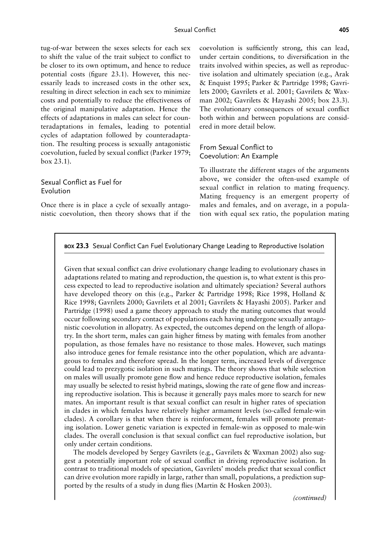tug-of-war between the sexes selects for each sex to shift the value of the trait subject to conflict to be closer to its own optimum, and hence to reduce potential costs (figure 23.1). However, this necessarily leads to increased costs in the other sex, resulting in direct selection in each sex to minimize costs and potentially to reduce the effectiveness of the original manipulative adaptation. Hence the effects of adaptations in males can select for counteradaptations in females, leading to potential cycles of adaptation followed by counteradaptation. The resulting process is sexually antagonistic coevolution, fueled by sexual conflict (Parker 1979; box 23.1).

# Sexual Conflict as Fuel for Evolution

Once there is in place a cycle of sexually antagonistic coevolution, then theory shows that if the coevolution is sufficiently strong, this can lead, under certain conditions, to diversification in the traits involved within species, as well as reproductive isolation and ultimately speciation (e.g., Arak & Enquist 1995; Parker & Partridge 1998; Gavrilets 2000; Gavrilets et al. 2001; Gavrilets & Waxman 2002; Gavrilets & Hayashi 2005; box 23.3). The evolutionary consequences of sexual conflict both within and between populations are considered in more detail below.

## From Sexual Conflict to Coevolution: An Example

To illustrate the different stages of the arguments above, we consider the often-used example of sexual conflict in relation to mating frequency. Mating frequency is an emergent property of males and females, and on average, in a population with equal sex ratio, the population mating

#### **BOX 23.3** Sexual Conflict Can Fuel Evolutionary Change Leading to Reproductive Isolation

Given that sexual conflict can drive evolutionary change leading to evolutionary chases in adaptations related to mating and reproduction, the question is, to what extent is this process expected to lead to reproductive isolation and ultimately speciation? Several authors have developed theory on this (e.g., Parker & Partridge 1998; Rice 1998, Holland & Rice 1998; Gavrilets 2000; Gavrilets et al 2001; Gavrilets & Hayashi 2005). Parker and Partridge (1998) used a game theory approach to study the mating outcomes that would occur following secondary contact of populations each having undergone sexually antagonistic coevolution in allopatry. As expected, the outcomes depend on the length of allopatry. In the short term, males can gain higher fitness by mating with females from another population, as those females have no resistance to those males. However, such matings also introduce genes for female resistance into the other population, which are advantageous to females and therefore spread. In the longer term, increased levels of divergence could lead to prezygotic isolation in such matings. The theory shows that while selection on males will usually promote gene flow and hence reduce reproductive isolation, females may usually be selected to resist hybrid matings, slowing the rate of gene flow and increasing reproductive isolation. This is because it generally pays males more to search for new mates. An important result is that sexual conflict can result in higher rates of speciation in clades in which females have relatively higher armament levels (so-called female-win clades). A corollary is that when there is reinforcement, females will promote premating isolation. Lower genetic variation is expected in female-win as opposed to male-win clades. The overall conclusion is that sexual conflict can fuel reproductive isolation, but only under certain conditions.

The models developed by Sergey Gavrilets (e.g., Gavrilets & Waxman 2002) also suggest a potentially important role of sexual conflict in driving reproductive isolation. In contrast to traditional models of speciation, Gavrilets' models predict that sexual conflict can drive evolution more rapidly in large, rather than small, populations, a prediction supported by the results of a study in dung flies (Martin & Hosken 2003).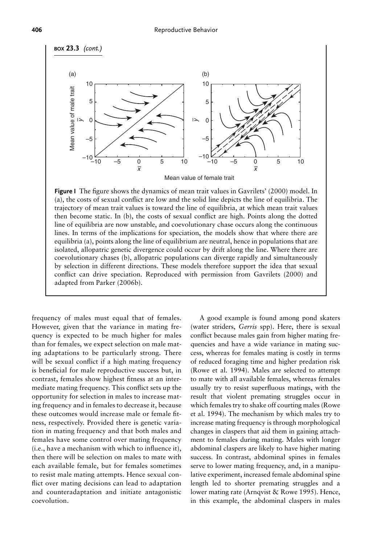

**Figure I** The figure shows the dynamics of mean trait values in Gavrilets' (2000) model. In  $(a)$ , the costs of sexual conflict are low and the solid line depicts the line of equilibria. The trajectory of mean trait values is toward the line of equilibria, at which mean trait values then become static. In (b), the costs of sexual conflict are high. Points along the dotted line of equilibria are now unstable, and coevolutionary chase occurs along the continuous lines. In terms of the implications for speciation, the models show that where there are equilibria (a), points along the line of equilibrium are neutral, hence in populations that are isolated, allopatric genetic divergence could occur by drift along the line. Where there are coevolutionary chases (b), allopatric populations can diverge rapidly and simultaneously by selection in different directions. These models therefore support the idea that sexual conflict can drive speciation. Reproduced with permission from Gavrilets (2000) and adapted from Parker (2006b).

frequency of males must equal that of females. However, given that the variance in mating frequency is expected to be much higher for males than for females, we expect selection on male mating adaptations to be particularly strong. There will be sexual conflict if a high mating frequency is beneficial for male reproductive success but, in contrast, females show highest fitness at an intermediate mating frequency. This conflict sets up the opportunity for selection in males to increase mating frequency and in females to decrease it, because these outcomes would increase male or female fitness, respectively. Provided there is genetic variation in mating frequency and that both males and females have some control over mating frequency  $(i.e., have a mechanism with which to influence it),$ then there will be selection on males to mate with each available female, but for females sometimes to resist male mating attempts. Hence sexual conflict over mating decisions can lead to adaptation and counteradaptation and initiate antagonistic coevolution.

A good example is found among pond skaters (water striders, *Gerris* spp). Here, there is sexual conflict because males gain from higher mating frequencies and have a wide variance in mating success, whereas for females mating is costly in terms of reduced foraging time and higher predation risk (Rowe et al. 1994). Males are selected to attempt to mate with all available females, whereas females usually try to resist superfluous matings, with the result that violent premating struggles occur in which females try to shake off courting males (Rowe et al. 1994). The mechanism by which males try to increase mating frequency is through morphological changes in claspers that aid them in gaining attachment to females during mating. Males with longer abdominal claspers are likely to have higher mating success. In contrast, abdominal spines in females serve to lower mating frequency, and, in a manipulative experiment, increased female abdominal spine length led to shorter premating struggles and a lower mating rate (Arnqvist & Rowe 1995). Hence, in this example, the abdominal claspers in males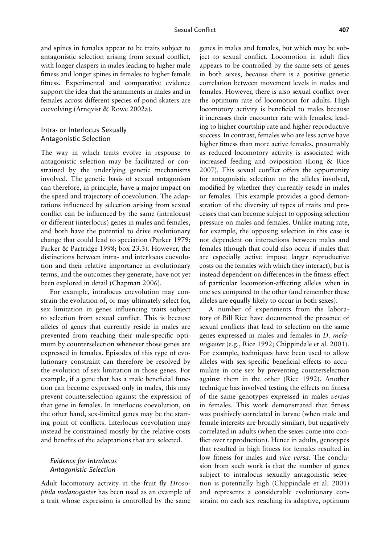and spines in females appear to be traits subject to antagonistic selection arising from sexual conflict, with longer claspers in males leading to higher male fitness and longer spines in females to higher female fitness. Experimental and comparative evidence support the idea that the armaments in males and in females across different species of pond skaters are coevolving (Arnqvist & Rowe 2002a).

#### Intra- or Interlocus Sexually Antagonistic Selection

The way in which traits evolve in response to antagonistic selection may be facilitated or constrained by the underlying genetic mechanisms involved. The genetic basis of sexual antagonism can therefore, in principle, have a major impact on the speed and trajectory of coevolution. The adaptations influenced by selection arising from sexual conflict can be influenced by the same (intralocus) or different (interlocus) genes in males and females, and both have the potential to drive evolutionary change that could lead to speciation (Parker 1979; Parker & Partridge 1998; box 23.3). However, the distinctions between intra- and interlocus coevolution and their relative importance in evolutionary terms, and the outcomes they generate, have not yet been explored in detail (Chapman 2006).

For example, intralocus coevolution may constrain the evolution of, or may ultimately select for, sex limitation in genes influencing traits subject to selection from sexual conflict. This is because alleles of genes that currently reside in males are prevented from reaching their male-specific optimum by counterselection whenever those genes are expressed in females. Episodes of this type of evolutionary constraint can therefore be resolved by the evolution of sex limitation in those genes. For example, if a gene that has a male beneficial function can become expressed only in males, this may prevent counterselection against the expression of that gene in females. In interlocus coevolution, on the other hand, sex-limited genes may be the starting point of conflicts. Interlocus coevolution may instead be constrained mostly by the relative costs and benefits of the adaptations that are selected.

#### *Evidence for Intralocus Antagonistic Selection*

Adult locomotory activity in the fruit fly *Drosophila melanogaster* has been used as an example of a trait whose expression is controlled by the same

genes in males and females, but which may be subject to sexual conflict. Locomotion in adult flies appears to be controlled by the same sets of genes in both sexes, because there is a positive genetic correlation between movement levels in males and females. However, there is also sexual conflict over the optimum rate of locomotion for adults. High locomotory activity is beneficial to males because it increases their encounter rate with females, leading to higher courtship rate and higher reproductive success. In contrast, females who are less active have higher fitness than more active females, presumably as reduced locomotory activity is associated with increased feeding and oviposition (Long & Rice 2007). This sexual conflict offers the opportunity for antagonistic selection on the alleles involved, modified by whether they currently reside in males or females. This example provides a good demonstration of the diversity of types of traits and processes that can become subject to opposing selection pressure on males and females. Unlike mating rate, for example, the opposing selection in this case is not dependent on interactions between males and females (though that could also occur if males that are especially active impose larger reproductive costs on the females with which they interact), but is instead dependent on differences in the fitness effect of particular locomotion-affecting alleles when in one sex compared to the other (and remember these alleles are equally likely to occur in both sexes).

A number of experiments from the laboratory of Bill Rice have documented the presence of sexual conflicts that lead to selection on the same genes expressed in males and females in *D. melanogaster* (e.g., Rice 1992; Chippindale et al. 2001). For example, techniques have been used to allow alleles with sex-specific beneficial effects to accumulate in one sex by preventing counterselection against them in the other (Rice 1992). Another technique has involved testing the effects on fitness of the same genotypes expressed in males *versus* in females. This work demonstrated that fitness was positively correlated in larvae (when male and female interests are broadly similar), but negatively correlated in adults (when the sexes come into conflict over reproduction). Hence in adults, genotypes that resulted in high fitness for females resulted in low fitness for males and *vice versa*. The conclusion from such work is that the number of genes subject to intralocus sexually antagonistic selection is potentially high (Chippindale et al. 2001) and represents a considerable evolutionary constraint on each sex reaching its adaptive, optimum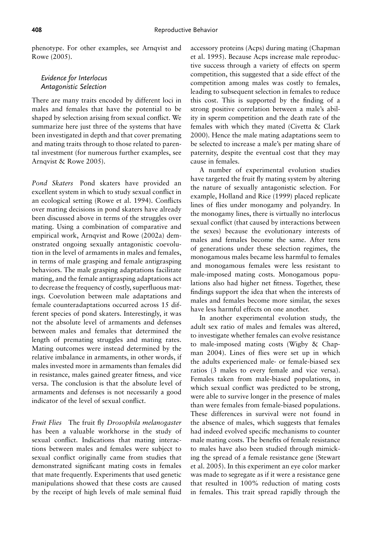phenotype. For other examples, see Arnqvist and Rowe (2005).

## *Evidence for Interlocus Antagonistic Selection*

There are many traits encoded by different loci in males and females that have the potential to be shaped by selection arising from sexual conflict. We summarize here just three of the systems that have been investigated in depth and that cover premating and mating traits through to those related to parental investment (for numerous further examples, see Arnqvist & Rowe 2005).

*Pond Skaters* Pond skaters have provided an excellent system in which to study sexual conflict in an ecological setting (Rowe et al. 1994). Conflicts over mating decisions in pond skaters have already been discussed above in terms of the struggles over mating. Using a combination of comparative and empirical work, Arnqvist and Rowe (2002a) demonstrated ongoing sexually antagonistic coevolution in the level of armaments in males and females, in terms of male grasping and female antigrasping behaviors. The male grasping adaptations facilitate mating, and the female antigrasping adaptations act to decrease the frequency of costly, superfluous matings. Coevolution between male adaptations and female counteradaptations occurred across 15 different species of pond skaters. Interestingly, it was not the absolute level of armaments and defenses between males and females that determined the length of premating struggles and mating rates. Mating outcomes were instead determined by the relative imbalance in armaments, in other words, if males invested more in armaments than females did in resistance, males gained greater fitness, and vice versa. The conclusion is that the absolute level of armaments and defenses is not necessarily a good indicator of the level of sexual conflict.

*Fruit Flies* The fruit fly *Drosophila melanogaster* has been a valuable workhorse in the study of sexual conflict. Indications that mating interactions between males and females were subject to sexual conflict originally came from studies that demonstrated significant mating costs in females that mate frequently. Experiments that used genetic manipulations showed that these costs are caused by the receipt of high levels of male seminal fluid accessory proteins (Acps) during mating (Chapman et al. 1995). Because Acps increase male reproductive success through a variety of effects on sperm competition, this suggested that a side effect of the competition among males was costly to females, leading to subsequent selection in females to reduce this cost. This is supported by the finding of a strong positive correlation between a male's ability in sperm competition and the death rate of the females with which they mated (Civetta & Clark 2000). Hence the male mating adaptations seem to be selected to increase a male's per mating share of paternity, despite the eventual cost that they may cause in females.

A number of experimental evolution studies have targeted the fruit fly mating system by altering the nature of sexually antagonistic selection. For example, Holland and Rice (1999) placed replicate lines of flies under monogamy and polyandry. In the monogamy lines, there is virtually no interlocus sexual conflict (that caused by interactions between the sexes) because the evolutionary interests of males and females become the same. After tens of generations under these selection regimes, the monogamous males became less harmful to females and monogamous females were less resistant to male-imposed mating costs. Monogamous populations also had higher net fitness. Together, these findings support the idea that when the interests of males and females become more similar, the sexes have less harmful effects on one another.

In another experimental evolution study, the adult sex ratio of males and females was altered, to investigate whether females can evolve resistance to male-imposed mating costs (Wigby & Chapman 2004). Lines of flies were set up in which the adults experienced male- or female-biased sex ratios (3 males to every female and vice versa). Females taken from male-biased populations, in which sexual conflict was predicted to be strong, were able to survive longer in the presence of males than were females from female-biased populations. These differences in survival were not found in the absence of males, which suggests that females had indeed evolved specific mechanisms to counter male mating costs. The benefits of female resistance to males have also been studied through mimicking the spread of a female resistance gene (Stewart et al. 2005). In this experiment an eye color marker was made to segregate as if it were a resistance gene that resulted in 100% reduction of mating costs in females. This trait spread rapidly through the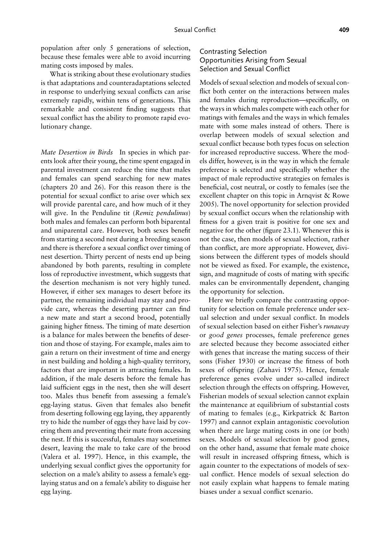population after only 5 generations of selection, because these females were able to avoid incurring mating costs imposed by males.

What is striking about these evolutionary studies is that adaptations and counteradaptations selected in response to underlying sexual conflicts can arise extremely rapidly, within tens of generations. This remarkable and consistent finding suggests that sexual conflict has the ability to promote rapid evolutionary change.

*Mate Desertion in Birds* In species in which parents look after their young, the time spent engaged in parental investment can reduce the time that males and females can spend searching for new mates (chapters 20 and 26). For this reason there is the potential for sexual conflict to arise over which sex will provide parental care, and how much of it they will give. In the Penduline tit (*Remiz pendulinus*) both males and females can perform both biparental and uniparental care. However, both sexes benefit from starting a second nest during a breeding season and there is therefore a sexual conflict over timing of nest desertion. Thirty percent of nests end up being abandoned by both parents, resulting in complete loss of reproductive investment, which suggests that the desertion mechanism is not very highly tuned. However, if either sex manages to desert before its partner, the remaining individual may stay and provide care, whereas the deserting partner can find a new mate and start a second brood, potentially gaining higher fitness. The timing of mate desertion is a balance for males between the benefits of desertion and those of staying. For example, males aim to gain a return on their investment of time and energy in nest building and holding a high-quality territory, factors that are important in attracting females. In addition, if the male deserts before the female has laid sufficient eggs in the nest, then she will desert too. Males thus benefit from assessing a female's egg-laying status. Given that females also benefit from deserting following egg laying, they apparently try to hide the number of eggs they have laid by covering them and preventing their mate from accessing the nest. If this is successful, females may sometimes desert, leaving the male to take care of the brood (Valera et al. 1997). Hence, in this example, the underlying sexual conflict gives the opportunity for selection on a male's ability to assess a female's egglaying status and on a female's ability to disguise her egg laying.

# Contrasting Selection Opportunities Arising from Sexual Selection and Sexual Conflict

Models of sexual selection and models of sexual conflict both center on the interactions between males and females during reproduction—specifically, on the ways in which males compete with each other for matings with females and the ways in which females mate with some males instead of others. There is overlap between models of sexual selection and sexual conflict because both types focus on selection for increased reproductive success. Where the models differ, however, is in the way in which the female preference is selected and specifically whether the impact of male reproductive strategies on females is beneficial, cost neutral, or costly to females (see the excellent chapter on this topic in Arnqvist & Rowe 2005). The novel opportunity for selection provided by sexual conflict occurs when the relationship with fitness for a given trait is positive for one sex and negative for the other (figure 23.1). Whenever this is not the case, then models of sexual selection, rather than conflict, are more appropriate. However, divisions between the different types of models should not be viewed as fixed. For example, the existence, sign, and magnitude of costs of mating with specific males can be environmentally dependent, changing the opportunity for selection.

Here we briefly compare the contrasting opportunity for selection on female preference under sexual selection and under sexual conflict. In models of sexual selection based on either Fisher's *runaway* or *good genes* processes, female preference genes are selected because they become associated either with genes that increase the mating success of their sons (Fisher 1930) or increase the fitness of both sexes of offspring (Zahavi 1975). Hence, female preference genes evolve under so-called indirect selection through the effects on offspring. However, Fisherian models of sexual selection cannot explain the maintenance at equilibrium of substantial costs of mating to females (e.g., Kirkpatrick & Barton 1997) and cannot explain antagonistic coevolution when there are large mating costs in one (or both) sexes. Models of sexual selection by good genes, on the other hand, assume that female mate choice will result in increased offspring fitness, which is again counter to the expectations of models of sexual conflict. Hence models of sexual selection do not easily explain what happens to female mating biases under a sexual conflict scenario.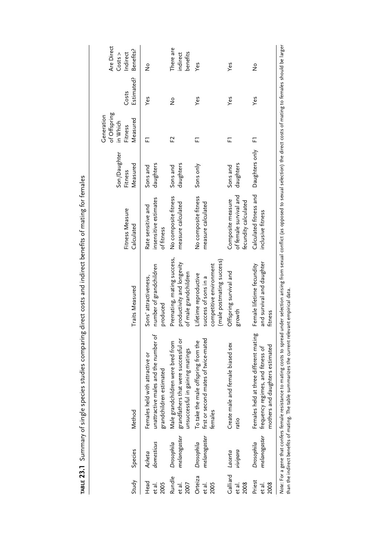| Are Direct<br>Benefits?<br>Indirect<br>Costs                  | $\frac{1}{2}$                                                                                      | There are<br>benefits<br>indirect                                                                            | Yes                                                                                                   | Yes                                                                 | $\frac{1}{2}$                                                                                                                                         |
|---------------------------------------------------------------|----------------------------------------------------------------------------------------------------|--------------------------------------------------------------------------------------------------------------|-------------------------------------------------------------------------------------------------------|---------------------------------------------------------------------|-------------------------------------------------------------------------------------------------------------------------------------------------------|
| Estimated?<br>Costs                                           | Yes                                                                                                | $\frac{1}{2}$                                                                                                | Yes                                                                                                   | Yes                                                                 | Yes                                                                                                                                                   |
| of Offspring<br>Generation<br>Measured<br>in Which<br>Fitness | E                                                                                                  | F2                                                                                                           | E                                                                                                     | E                                                                   | E                                                                                                                                                     |
| Son/Daughter<br>Measured<br>Fitness                           | daughters<br>Sons and                                                                              | daughters<br>Sons and                                                                                        | Sons only                                                                                             | daughters<br>Sons and                                               |                                                                                                                                                       |
| Fitness Measure<br>Calculated                                 | insensitive estimates<br>Rate sensitive and<br>of fitness                                          | No composite fitness<br>measure calculated                                                                   | No composite fitness<br>measure calculated                                                            | of female survival and<br>Composite measure<br>fecundity calculated | Calculated fitness and Daughters only<br>inclusive fitness                                                                                            |
| Traits Measured                                               | number of grandchildren<br>Sons' attractiveness,<br>produced                                       | Premating, mating success,<br>productivity and longevity<br>of male grandchildren                            | (male postmating success)<br>competitive environment<br>Lifetime reproductive<br>success of sons in a | Offspring survival and<br>growth                                    | and survival and daughter<br>fitness                                                                                                                  |
| Method                                                        | unattractive males and the number of<br>Females held with attractive or<br>grandchildren estimated | Male grandchildren were bred from<br>grandfathers that were successful or<br>unsuccessful in gaining matings | first or second mates of twice-mated<br>To take the male offspring from the<br>females                | Create male and female biased sex<br>ratio                          | Females held at three different mating Female lifetime fecundity<br>mothers and daughters estimated<br>melanogaster frequency regimes, and fitness of |
| Species                                                       | domesticus<br>Acheta                                                                               | melanogaster<br>Drosophila                                                                                   | melanogaster<br>Drosophila                                                                            | vivipara<br>Lacerta                                                 | Drosophila                                                                                                                                            |
| Study                                                         | Head<br>et al.<br>2005                                                                             | Rundle<br>et al.<br>2007                                                                                     | Orteiza<br>et al.<br>2005                                                                             | Galliard<br>et al.<br>$2008$                                        | Priest<br>2008<br>et al.                                                                                                                              |

TABLE 23.1 Summary of single species studies comparing direct costs and indirect benefits of mating for females TABLE 23.1 Summary of single species studies comparing direct costs and indirect benefits of mating for females

*Note*: For a gene that confers female resistance to mating costs to spread under selection arising from sexual confl ict (as opposed to sexual selection) the direct costs of mating to females should be larger bulu be larger on Runn n in Linc ict (as oppose *Note:* For a gene that confers ternale resistance to mating costs to spread under selection arising from<br>than the indirect benefits of mating. The table summarizes the current relevant empirical data. than the indirect benefits of mating. The table summarizes the current relevant empirical data.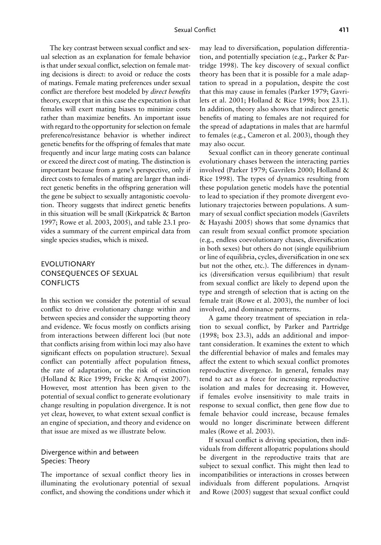The key contrast between sexual conflict and sexual selection as an explanation for female behavior is that under sexual conflict, selection on female mating decisions is direct: to avoid or reduce the costs of matings. Female mating preferences under sexual conflict are therefore best modeled by *direct benefits* theory, except that in this case the expectation is that females will exert mating biases to minimize costs rather than maximize benefits. An important issue with regard to the opportunity for selection on female preference/resistance behavior is whether indirect genetic benefits for the offspring of females that mate frequently and incur large mating costs can balance or exceed the direct cost of mating. The distinction is important because from a gene's perspective, only if direct costs to females of mating are larger than indirect genetic benefits in the offspring generation will the gene be subject to sexually antagonistic coevolution. Theory suggests that indirect genetic benefits in this situation will be small (Kirkpatrick & Barton 1997; Rowe et al. 2003, 2005), and table 23.1 provides a summary of the current empirical data from single species studies, which is mixed.

# EVOLUTIONARY CONSEQUENCES OF SEXUAL **CONFLICTS**

In this section we consider the potential of sexual conflict to drive evolutionary change within and between species and consider the supporting theory and evidence. We focus mostly on conflicts arising from interactions between different loci (but note that conflicts arising from within loci may also have significant effects on population structure). Sexual conflict can potentially affect population fitness, the rate of adaptation, or the risk of extinction (Holland & Rice 1999; Fricke & Arnqvist 2007). However, most attention has been given to the potential of sexual conflict to generate evolutionary change resulting in population divergence. It is not yet clear, however, to what extent sexual conflict is an engine of speciation, and theory and evidence on that issue are mixed as we illustrate below.

## Divergence within and between Species: Theory

The importance of sexual conflict theory lies in illuminating the evolutionary potential of sexual conflict, and showing the conditions under which it may lead to diversification, population differentiation, and potentially speciation (e.g., Parker & Partridge 1998). The key discovery of sexual conflict theory has been that it is possible for a male adaptation to spread in a population, despite the cost that this may cause in females (Parker 1979; Gavrilets et al. 2001; Holland & Rice 1998; box 23.1). In addition, theory also shows that indirect genetic benefits of mating to females are not required for the spread of adaptations in males that are harmful to females (e.g., Cameron et al. 2003), though they may also occur.

Sexual conflict can in theory generate continual evolutionary chases between the interacting parties involved (Parker 1979; Gavrilets 2000; Holland & Rice 1998). The types of dynamics resulting from these population genetic models have the potential to lead to speciation if they promote divergent evolutionary trajectories between populations. A summary of sexual conflict speciation models (Gavrilets & Hayashi 2005) shows that some dynamics that can result from sexual conflict promote speciation (e.g., endless coevolutionary chases, diversification in both sexes) but others do not (single equilibrium or line of equilibria, cycles, diversification in one sex but not the other, etc.). The differences in dynamics (diversification versus equilibrium) that result from sexual conflict are likely to depend upon the type and strength of selection that is acting on the female trait (Rowe et al. 2003), the number of loci involved, and dominance patterns.

A game theory treatment of speciation in relation to sexual conflict, by Parker and Partridge (1998; box 23.3), adds an additional and important consideration. It examines the extent to which the differential behavior of males and females may affect the extent to which sexual conflict promotes reproductive divergence. In general, females may tend to act as a force for increasing reproductive isolation and males for decreasing it. However, if females evolve insensitivity to male traits in response to sexual conflict, then gene flow due to female behavior could increase, because females would no longer discriminate between different males (Rowe et al. 2003).

If sexual conflict is driving speciation, then individuals from different allopatric populations should be divergent in the reproductive traits that are subject to sexual conflict. This might then lead to incompatibilities or interactions in crosses between individuals from different populations. Arnqvist and Rowe (2005) suggest that sexual conflict could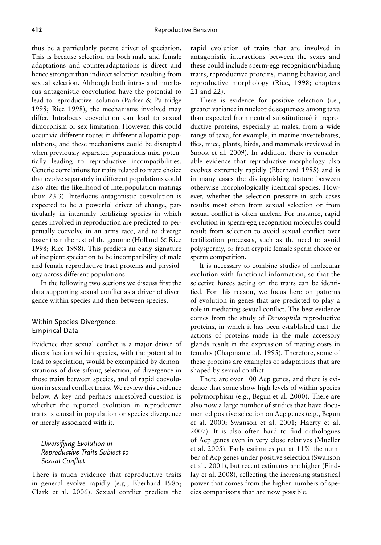thus be a particularly potent driver of speciation. This is because selection on both male and female adaptations and counteradaptations is direct and hence stronger than indirect selection resulting from sexual selection. Although both intra- and interlocus antagonistic coevolution have the potential to lead to reproductive isolation (Parker & Partridge 1998; Rice 1998), the mechanisms involved may differ. Intralocus coevolution can lead to sexual dimorphism or sex limitation. However, this could occur via different routes in different allopatric populations, and these mechanisms could be disrupted when previously separated populations mix, potentially leading to reproductive incompatibilities. Genetic correlations for traits related to mate choice that evolve separately in different populations could also alter the likelihood of interpopulation matings (box 23.3). Interlocus antagonistic coevolution is expected to be a powerful driver of change, particularly in internally fertilizing species in which genes involved in reproduction are predicted to perpetually coevolve in an arms race, and to diverge faster than the rest of the genome (Holland & Rice 1998; Rice 1998). This predicts an early signature of incipient speciation to be incompatibility of male and female reproductive tract proteins and physiology across different populations.

In the following two sections we discuss first the data supporting sexual conflict as a driver of divergence within species and then between species.

## Within Species Divergence: Empirical Data

Evidence that sexual conflict is a major driver of diversification within species, with the potential to lead to speciation, would be exemplified by demonstrations of diversifying selection, of divergence in those traits between species, and of rapid coevolution in sexual conflict traits. We review this evidence below. A key and perhaps unresolved question is whether the reported evolution in reproductive traits is causal in population or species divergence or merely associated with it.

# *Diversifying Evolution in Reproductive Traits Subject to Sexual Conflict*

There is much evidence that reproductive traits in general evolve rapidly (e.g., Eberhard 1985; Clark et al. 2006). Sexual conflict predicts the rapid evolution of traits that are involved in antagonistic interactions between the sexes and these could include sperm-egg recognition/binding traits, reproductive proteins, mating behavior, and reproductive morphology (Rice, 1998; chapters 21 and 22).

There is evidence for positive selection (i.e., greater variance in nucleotide sequences among taxa than expected from neutral substitutions) in reproductive proteins, especially in males, from a wide range of taxa, for example, in marine invertebrates, flies, mice, plants, birds, and mammals (reviewed in Snook et al. 2009). In addition, there is considerable evidence that reproductive morphology also evolves extremely rapidly (Eberhard 1985) and is in many cases the distinguishing feature between otherwise morphologically identical species. However, whether the selection pressure in such cases results most often from sexual selection or from sexual conflict is often unclear. For instance, rapid evolution in sperm-egg recognition molecules could result from selection to avoid sexual conflict over fertilization processes, such as the need to avoid polyspermy, or from cryptic female sperm choice or sperm competition.

It is necessary to combine studies of molecular evolution with functional information, so that the selective forces acting on the traits can be identified. For this reason, we focus here on patterns of evolution in genes that are predicted to play a role in mediating sexual conflict. The best evidence comes from the study of *Drosophila* reproductive proteins, in which it has been established that the actions of proteins made in the male accessory glands result in the expression of mating costs in females (Chapman et al. 1995). Therefore, some of these proteins are examples of adaptations that are shaped by sexual conflict.

There are over 100 Acp genes, and there is evidence that some show high levels of within-species polymorphism (e.g., Begun et al. 2000). There are also now a large number of studies that have documented positive selection on Acp genes (e.g., Begun et al. 2000; Swanson et al. 2001; Haerty et al.  $2007$ ). It is also often hard to find orthologues of Acp genes even in very close relatives (Mueller et al. 2005). Early estimates put at 11% the number of Acp genes under positive selection (Swanson et al., 2001), but recent estimates are higher (Findlay et al. 2008), reflecting the increasing statistical power that comes from the higher numbers of species comparisons that are now possible.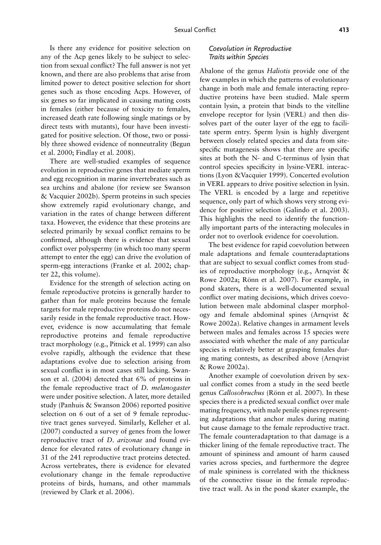Is there any evidence for positive selection on any of the Acp genes likely to be subject to selection from sexual conflict? The full answer is not yet known, and there are also problems that arise from limited power to detect positive selection for short genes such as those encoding Acps. However, of six genes so far implicated in causing mating costs in females (either because of toxicity to females, increased death rate following single matings or by direct tests with mutants), four have been investigated for positive selection. Of those, two or possibly three showed evidence of nonneutrality (Begun et al. 2000; Findlay et al. 2008).

There are well-studied examples of sequence evolution in reproductive genes that mediate sperm and egg recognition in marine invertebrates such as sea urchins and abalone (for review see Swanson & Vacquier 2002b). Sperm proteins in such species show extremely rapid evolutionary change, and variation in the rates of change between different taxa. However, the evidence that these proteins are selected primarily by sexual conflict remains to be confirmed, although there is evidence that sexual conflict over polyspermy (in which too many sperm attempt to enter the egg) can drive the evolution of sperm-egg interactions (Franke et al. 2002; chapter 22, this volume).

Evidence for the strength of selection acting on female reproductive proteins is generally harder to gather than for male proteins because the female targets for male reproductive proteins do not necessarily reside in the female reproductive tract. However, evidence is now accumulating that female reproductive proteins and female reproductive tract morphology (e.g., Pitnick et al. 1999) can also evolve rapidly, although the evidence that these adaptations evolve due to selection arising from sexual conflict is in most cases still lacking. Swanson et al. (2004) detected that 6% of proteins in the female reproductive tract of *D. melanogaster* were under positive selection. A later, more detailed study (Panhuis & Swanson 2006) reported positive selection on 6 out of a set of 9 female reproductive tract genes surveyed. Similarly, Kelleher et al. (2007) conducted a survey of genes from the lower reproductive tract of *D. arizonae* and found evidence for elevated rates of evolutionary change in 31 of the 241 reproductive tract proteins detected. Across vertebrates, there is evidence for elevated evolutionary change in the female reproductive proteins of birds, humans, and other mammals (reviewed by Clark et al. 2006).

#### *Coevolution in Reproductive Traits within Species*

Abalone of the genus *Haliotis* provide one of the few examples in which the patterns of evolutionary change in both male and female interacting reproductive proteins have been studied. Male sperm contain lysin, a protein that binds to the vitelline envelope receptor for lysin (VERL) and then dissolves part of the outer layer of the egg to facilitate sperm entry. Sperm lysin is highly divergent between closely related species and data from sitespecific mutagenesis shows that there are specific sites at both the N- and C-terminus of lysin that control species specificity in lysine-VERL interactions (Lyon &Vacquier 1999). Concerted evolution in VERL appears to drive positive selection in lysin. The VERL is encoded by a large and repetitive sequence, only part of which shows very strong evidence for positive selection (Galindo et al. 2003). This highlights the need to identify the functionally important parts of the interacting molecules in order not to overlook evidence for coevolution.

The best evidence for rapid coevolution between male adaptations and female counteradaptations that are subject to sexual conflict comes from studies of reproductive morphology (e.g., Arnqvist & Rowe 2002a; Rönn et al. 2007). For example, in pond skaters, there is a well-documented sexual conflict over mating decisions, which drives coevolution between male abdominal clasper morphology and female abdominal spines (Arnqvist & Rowe 2002a). Relative changes in armament levels between males and females across 15 species were associated with whether the male of any particular species is relatively better at grasping females during mating contests, as described above (Arnqvist & Rowe 2002a).

Another example of coevolution driven by sexual conflict comes from a study in the seed beetle genus *Callosobruchus* (Rönn et al. 2007). In these species there is a predicted sexual conflict over male mating frequency, with male penile spines representing adaptations that anchor males during mating but cause damage to the female reproductive tract. The female counteradaptation to that damage is a thicker lining of the female reproductive tract. The amount of spininess and amount of harm caused varies across species, and furthermore the degree of male spininess is correlated with the thickness of the connective tissue in the female reproductive tract wall. As in the pond skater example, the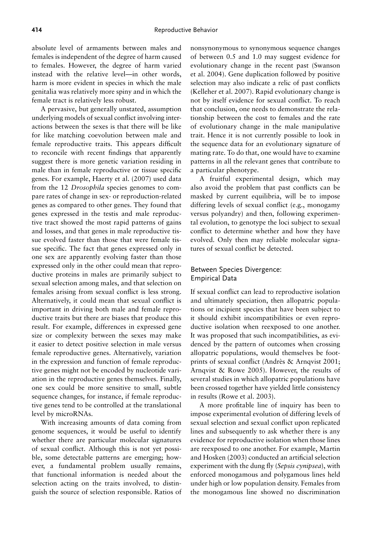absolute level of armaments between males and females is independent of the degree of harm caused to females. However, the degree of harm varied instead with the relative level—in other words, harm is more evident in species in which the male genitalia was relatively more spiny and in which the female tract is relatively less robust.

A pervasive, but generally unstated, assumption underlying models of sexual conflict involving interactions between the sexes is that there will be like for like matching coevolution between male and female reproductive traits. This appears difficult to reconcile with recent findings that apparently suggest there is more genetic variation residing in male than in female reproductive or tissue specific genes. For example, Haerty et al. (2007) used data from the 12 *Drosophila* species genomes to compare rates of change in sex- or reproduction-related genes as compared to other genes. They found that genes expressed in the testis and male reproductive tract showed the most rapid patterns of gains and losses, and that genes in male reproductive tissue evolved faster than those that were female tissue specific. The fact that genes expressed only in one sex are apparently evolving faster than those expressed only in the other could mean that reproductive proteins in males are primarily subject to sexual selection among males, and that selection on females arising from sexual conflict is less strong. Alternatively, it could mean that sexual conflict is important in driving both male and female reproductive traits but there are biases that produce this result. For example, differences in expressed gene size or complexity between the sexes may make it easier to detect positive selection in male versus female reproductive genes. Alternatively, variation in the expression and function of female reproductive genes might not be encoded by nucleotide variation in the reproductive genes themselves. Finally, one sex could be more sensitive to small, subtle sequence changes, for instance, if female reproductive genes tend to be controlled at the translational level by microRNAs.

With increasing amounts of data coming from genome sequences, it would be useful to identify whether there are particular molecular signatures of sexual conflict. Although this is not yet possible, some detectable patterns are emerging; however, a fundamental problem usually remains, that functional information is needed about the selection acting on the traits involved, to distinguish the source of selection responsible. Ratios of

nonsynonymous to synonymous sequence changes of between 0.5 and 1.0 may suggest evidence for evolutionary change in the recent past (Swanson et al. 2004). Gene duplication followed by positive selection may also indicate a relic of past conflicts (Kelleher et al. 2007). Rapid evolutionary change is not by itself evidence for sexual conflict. To reach that conclusion, one needs to demonstrate the relationship between the cost to females and the rate of evolutionary change in the male manipulative trait. Hence it is not currently possible to look in the sequence data for an evolutionary signature of mating rate. To do that, one would have to examine patterns in all the relevant genes that contribute to a particular phenotype.

A fruitful experimental design, which may also avoid the problem that past conflicts can be masked by current equilibria, will be to impose differing levels of sexual conflict (e.g., monogamy versus polyandry) and then, following experimental evolution, to genotype the loci subject to sexual conflict to determine whether and how they have evolved. Only then may reliable molecular signatures of sexual conflict be detected.

# Between Species Divergence: Empirical Data

If sexual conflict can lead to reproductive isolation and ultimately speciation, then allopatric populations or incipient species that have been subject to it should exhibit incompatibilities or even reproductive isolation when reexposed to one another. It was proposed that such incompatibilities, as evidenced by the pattern of outcomes when crossing allopatric populations, would themselves be footprints of sexual conflict (Andrès & Arnqvist 2001; Arnqvist & Rowe 2005). However, the results of several studies in which allopatric populations have been crossed together have yielded little consistency in results (Rowe et al. 2003).

A more profitable line of inquiry has been to impose experimental evolution of differing levels of sexual selection and sexual conflict upon replicated lines and subsequently to ask whether there is any evidence for reproductive isolation when those lines are reexposed to one another. For example, Martin and Hosken (2003) conducted an artificial selection experiment with the dung fly (*Sepsis cynipsea*), with enforced monogamous and polygamous lines held under high or low population density. Females from the monogamous line showed no discrimination